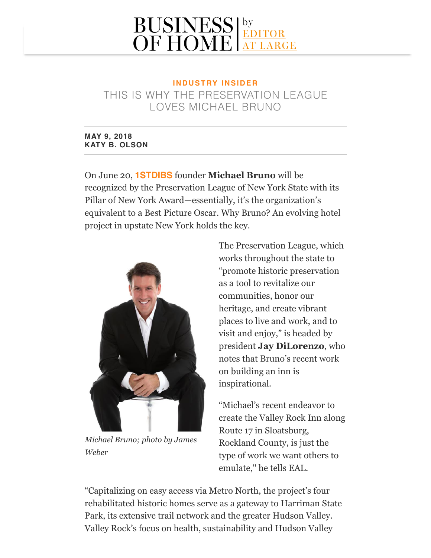## **BUSINESS** EDITOR

## **I N D U S T RY I N S I D E R** THIS IS WHY THE PRESERVATION LEAGUE LOVES MICHAEL BRUNO

## **MAY 9, 2018 KATY B. OLSON**

On June 20, **[1STDIBS](https://editoratlarge.com/articles/should-you-can-you-join-1stdibs-new-trade-program)** founder **Michael Bruno** will be recognized by the Preservation League of New York State with its Pillar of New York Award—essentially, it's the organization's equivalent to a Best Picture Oscar. Why Bruno? An evolving hotel project in upstate New York holds the key.



*Michael Bruno; photo by James Weber*

The Preservation League, which works throughout the state to "promote historic preservation as a tool to revitalize our communities, honor our heritage, and create vibrant places to live and work, and to visit and enjoy," is headed by president **Jay DiLorenzo**, who notes that Bruno's recent work on building an inn is inspirational.

"Michael's recent endeavor to create the Valley Rock Inn along Route 17 in Sloatsburg, Rockland County, is just the type of work we want others to emulate," he tells EAL.

"Capitalizing on easy access via Metro North, the project's four rehabilitated historic homes serve as a gateway to Harriman State Park, its extensive trail network and the greater Hudson Valley. Valley Rock's focus on health, sustainability and Hudson Valley